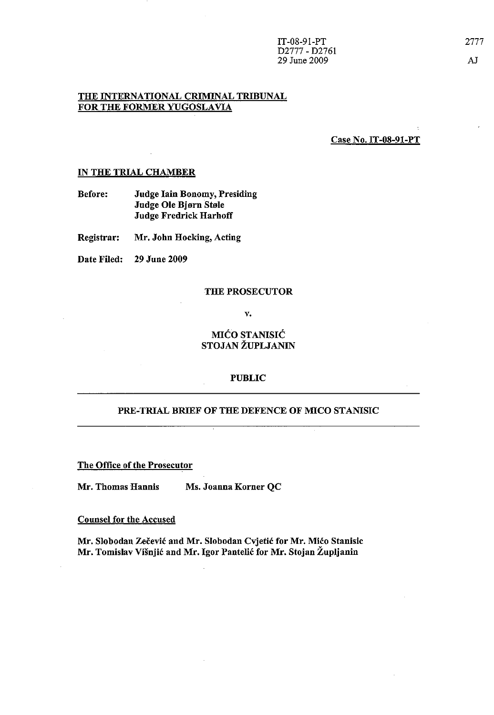## THE INTERNATIONAL CRIMINAL TRIBUNAL FOR THE FORMER YUGOSLAVIA

Case No. IT-08-91-PT

### IN THE TRIAL CHAMBER

Before: Judge lain Bonomy, Presiding Judge Ole Bjorn Stole Judge Fredrick Harhoff

Registrar: Mr. John Hocking, Acting

Date Filed: 29 June 2009

#### THE PROSECUTOR

v.

# MICO STANISIC STOJAN ZUPLJANIN

## PUBLIC

### PRE-TRIAL BRIEF OF THE DEFENCE OF MICO STANISIC

The Office of the Prosecutor

Mr. Thomas Hannis Ms. Joanna Korner QC

### Counsel for the Accused

Mr. Slobodan Zecevic and Mr. Slobodan Cvjetic for Mr. Mico Stanisic Mr. Tomislav Višnjić and Mr. Igor Pantelić for Mr. Stojan Župljanin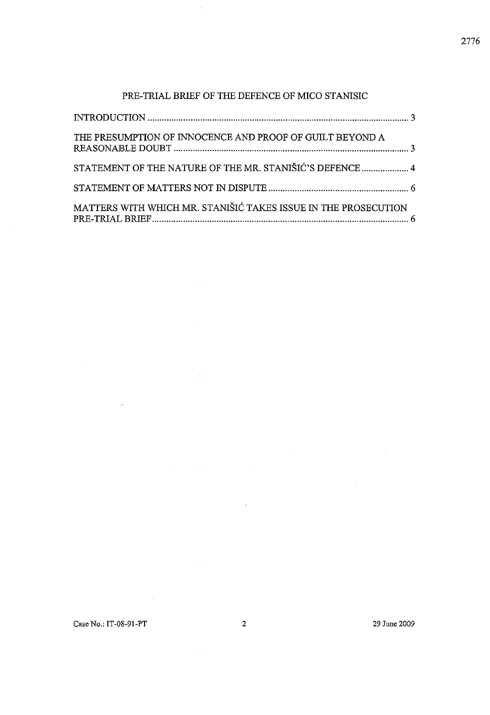# PRE-TRIAL BRIEF OF THE DEFENCE OF MICO STANISIC

 $\ddot{\phantom{a}}$ 

 $\sim$ 

 $\bar{z}$ 

 $\label{eq:2.1} \frac{1}{\sqrt{2}}\int_{\mathbb{R}^3}\frac{1}{\sqrt{2}}\left(\frac{1}{\sqrt{2}}\right)^2\left(\frac{1}{\sqrt{2}}\right)^2\left(\frac{1}{\sqrt{2}}\right)^2\left(\frac{1}{\sqrt{2}}\right)^2\left(\frac{1}{\sqrt{2}}\right)^2\left(\frac{1}{\sqrt{2}}\right)^2.$ 

 $\sim 10^6$ 

 $\sim 10$ 

| THE PRESUMPTION OF INNOCENCE AND PROOF OF GUILT BEYOND A       |  |
|----------------------------------------------------------------|--|
| STATEMENT OF THE NATURE OF THE MR. STANIŠIĆ'S DEFENCE  4       |  |
|                                                                |  |
| MATTERS WITH WHICH MR. STANIŠIĆ TAKES ISSUE IN THE PROSECUTION |  |

 $\mathcal{L}^{\text{max}}_{\text{max}}$ 

 $\mathcal{A}$ 

 $\mathcal{A}^{\mathcal{A}}$ 

 $\mathcal{L}^{\text{max}}_{\text{max}}$ 

 $\hat{\mathcal{A}}$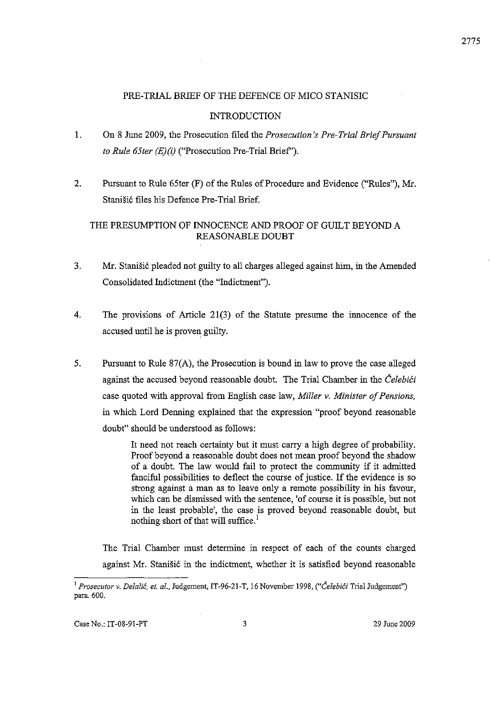## PRE-TRIAL BRIEF OF THE DEFENCE OF MICO STANISIC

## **INTRODUCTION**

- 1. On 8 June 2009, the Prosecution filed the *Prosecution's Pre-Trial Brief Pursuant to Rule 65ter (E)(i)* ("Prosecution Pre-Trial Brief').
- 2. Pursuant to Rule 65ter (F) of the Rules of Procedure and Evidence ("Rules"), Mr. Stanisi6 files his Defence Pre-Trial Brief.

# THE PRESUMPTION OF INNOCENCE AND PROOF OF GUILT BEYOND A REASONABLE DOUBT

- 3. Mr. Stanišić pleaded not guilty to all charges alleged against him, in the Amended Consolidated Indictment (the "Indictment").
- 4. The provisions of Article 21(3) of the Statute presume the innocence of the accused until he is proven guilty.
- 5. Pursuant to Rille 87(A), the Prosecution is bound in law to prove the case alleged against the accused beyond reasonable doubt. The Trial Chamber in the *Celebici* case quoted with approval from English case law, *Miller* v. *Minister of Pensions,*  in which Lord Denning explained that the expression "proof beyond reasonable doubt" should be understood as follows:

It need not reach certainty but it must carry a high degree of probability. Proof beyond a reasonable doubt does not mean proof beyond the shadow of a doubt. The law would fail to protect the community if it admitted fanciful possibilities to deflect the course of justice. If the evidence is so strong against a man as to leave only a remote possibility in his favour, which can be dismissed with the sentence, 'of course it is possible, but not in the least probable', the case is proved beyond reasonable doubt, but nothing short of that will suffice.<sup>1</sup>

The Trial Chamber must determine in respect of each of the counts charged against Mr. Stanišić in the indictment, whether it is satisfied beyond reasonable

<sup>1</sup>*Prosecutor v. Delalit, et. al.,* Judgement, IT -96-21-T, 16 November 1998, *("CelebiCi* Trial Judgement") para. 600.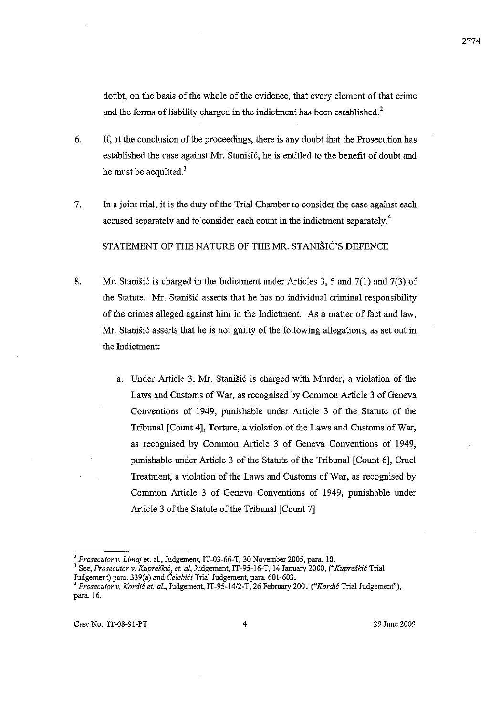doubt, on the basis of the whole of the evidence, that every element of that crime and the forms of liability charged in the indictment has been established.<sup>2</sup>

- 6. If, at the conclusion of the proceedings, there is any doubt that the Prosecution has established the case against Mr. Stanišić, he is entitled to the benefit of doubt and he must be acquitted. $3$
- 7. In a joint trial, it is the duty of the Trial Chamber to consider the case against each accused separately and to consider each count in the indictment separately.<sup>4</sup>

STATEMENT OF THE NATURE OF THE MR. STANISIC'S DEFENCE

- 8. Mr. Stanisić is charged in the Indictment under Articles 3, 5 and  $7(1)$  and  $7(3)$  of the Statute. Mr. Stanišić asserts that he has no individual criminal responsibility of the crimes alleged against him in the Indictment. As a matter of fact and law, Mr. Stanišić asserts that he is not guilty of the following allegations, as set out in the Indictment:
	- a. Under Article 3, Mr. Stanišić is charged with Murder, a violation of the Laws and Customs of War, as recognised by Common Article 3 of Geneva Conventions of 1949, punishable under Article 3 of the Statute of the Tribunal [Count 4], Torture, a violation of the Laws and Customs of War, as recognised by Common Article 3 of Geneva Conventions of 1949, punishable under Article 3 of the Statnte of the Tribunal [Count 6], Cruel Treatment, a violation of the Laws and Customs of War, as recognised by Common Article 3 of Geneva Conventions of 1949, punishable under Article 3 of the Statute of the Tribunal [Count 7]

2774

*<sup>2</sup> Prosecutor* v. *Limaj* et. aI., Judgement, IT-03-66-T, 30 November 2005, para. 10.

**<sup>3</sup> See,** *Prosecutor* **v.** *Kupreskic, et. aI,* **Judgement, IT -95-16-T, 14 January 2000,** *("Kupreffldc* **Trial**  Judgement) para. 339(a) and *CelehiCi* Trial Judgement, para. 601-603.

*<sup>4</sup> Prosecutor* v. *Kordic et. al.,* Judgement, IT-95-1412-T, 26 February 2001 *("Kordic* Trial Judgemenf'), para. 16.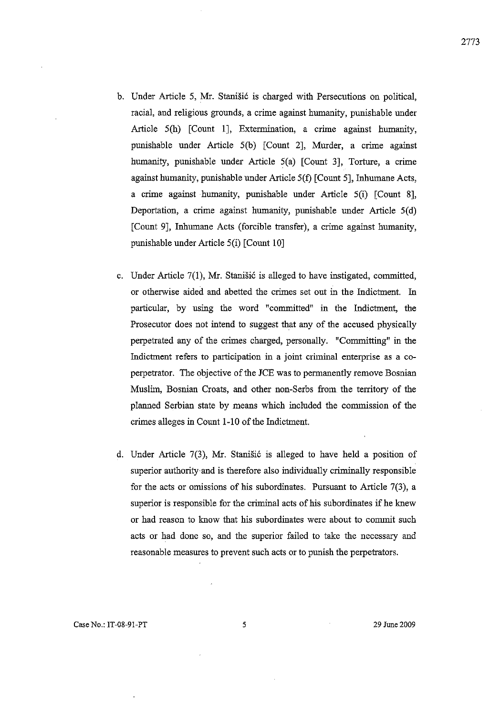- b. Under Article 5, Mr. Stanišić is charged with Persecutions on political, racial, and religious grounds, a crime against humanity, punishable under Article 5(h) [Count 1], Extermination, a crime against humanity, punishable under Article 5(b) [Count 2], Murder, a crime against humanity, punishable under Article 5(a) [Count 3], Torture, a crime against humanity, punishable under Article 5(t) [Count 5], Inhumane Acts, a crime against humanity, punishable under Article 5(i) [Count 8], Deportation, a crime against humanity, punishable under Article  $5(d)$ [Count 9], Inhumane Acts (forcible transfer), a crime against humanity, punishable under Article 5(i) [Count 10]
- c. Under Article  $7(1)$ , Mr. Stanišić is alleged to have instigated, committed, or otherwise aided and abetted the crimes set out in the Indictment. In particular, by using the word "committed" in the Indictment, the Prosecutor does not intend to suggest that any of the accused physically perpetrated any of the crimes charged, personally. "Committing" in the Indictment refers to participation in a joint criminal enterprise as a coperpetrator. The objective of the JCE was to permanently remove Bosnian Muslim, Bosnian Croats, and other non-Serbs from the territory of the planned Serbian state by means which included the commission of the crimes alleges in Count 1-10 of the Indictment.
- d. Under Article 7(3), Mr. Stanišić is alleged to have held a position of superior authority and is therefore also individually criminally responsible for the acts or omissions of his subordinates. Pursuant to Article 7(3), a superior is responsible for the criminal acts of his subordinates if he knew or had reason to know that his subordinates were about to commit such acts or had done so, and the superior failed to take the necessary and reasonable measures to prevent such acts or to punish the perpetrators.

2773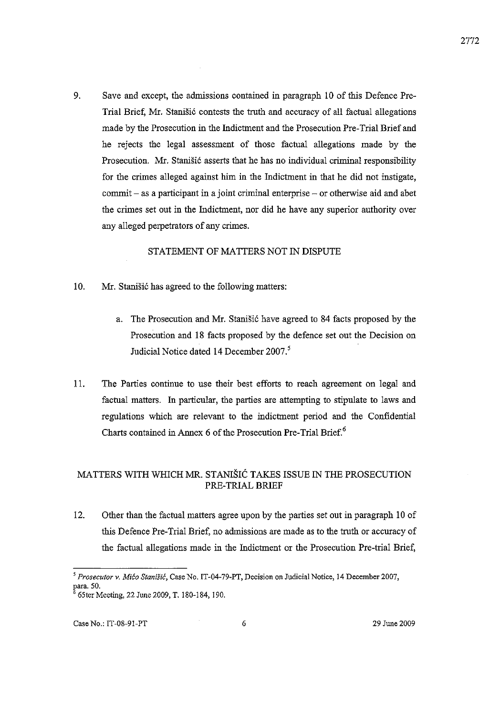9. Save and except, the admissions contained in paragraph 10 of this Defence Pre-Trial Brief, Mr. Stanišić contests the truth and accuracy of all factual allegations made by the Prosecution in the Indictment and the Prosecution Pre-Trial Brief and he rejects the legal assessment of those factual allegations made by the Prosecution. Mr. Stanišić asserts that he has no individual criminal responsibility for the crimes alleged against him in the Indictment in that he did not instigate,  $commit - as a particular in a joint criminal enterprise - or otherwise aid and abet$ the crimes set out in the Indictment, nor did he have any superior authority over any alleged perpetrators of any crimes.

## STATEMENT OF MATTERS NOT IN DISPUTE

- 10. Mr. Stanistic has agreed to the following matters:
	- a. The Prosecution and Mr. Stanišić have agreed to 84 facts proposed by the Prosecution and 18 facts proposed by the defence set out the Decision on Judicial Notice dated 14 December 2007.<sup>5</sup>
- II. The Parties continue to use their best efforts to reach agreement on legal and factual matters. In particular, the parties are attempting to stipulate to laws and regulations which are relevant to the indictment period and the Confidential Charts contained in Annex 6 of the Prosecution Pre-Trial Brief.<sup>6</sup>

# MATTERS WITH WHICH MR. STANIŠIĆ TAKES ISSUE IN THE PROSECUTION PRE-TRIAL BRIEF

12. Other than the factual matters agree upon by the parties set out in paragraph 10 of this Defence Pre-Trial Brief, no admissions are made as to the truth or accnracy of the factual allegations made in the Indictment or the Prosecution Pre-trial Brief,

*<sup>5</sup>Prosecutor* **v.** *MiCa Stanisic,* **Case No. IT-04-79-PT, Decision on Judicial Notice, 14 December 2007,**  65ter Meeting, 22 June 2009, T. 180-184, 190.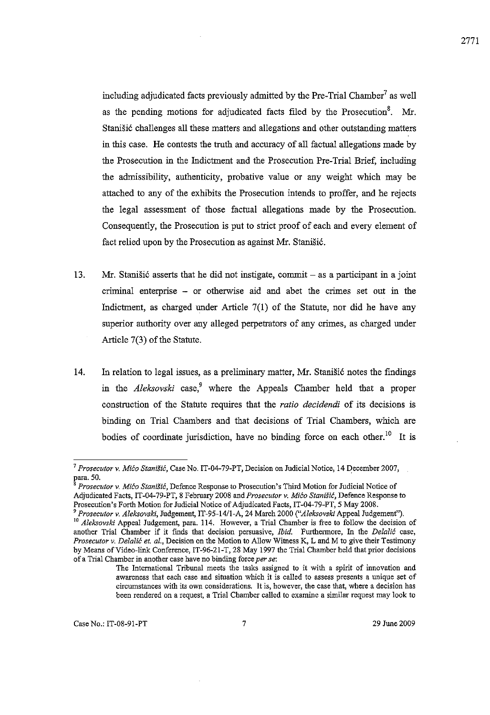including adjudicated facts previously admitted by the Pre-Trial Chamber<sup>7</sup> as well as the pending motions for adjudicated facts filed by the Prosecution<sup>8</sup>. Mr. Stanišić challenges all these matters and allegations and other outstanding matters in tbis case. He contests the trutb and accuracy of all factual allegations made by tbe Prosecution in tbe Indictment and tbe Prosecution Pre-Trial Brief, including tbe admissibility, autbenticity, probative value or any weight which may be attached to any of tbe exhibits the Prosecution intends to proffer, and he rejects tbe legal assessment of tbose factual allegations made by tbe Prosecution. Consequently, the Prosecution is put to strict proof of each and every element of fact relied upon by the Prosecution as against Mr. Stanišić.

- 13. Mr. Stanišić asserts that he did not instigate, commit as a participant in a joint criminal enterprise - or otberwise aid and abet tbe crimes set out in tbe Indictment, as charged under Article  $7(1)$  of the Statute, nor did he have any superior authority over any alleged perpetrators of any crimes, as charged under Article  $7(3)$  of the Statute.
- 14. In relation to legal issues, as a preliminary matter, Mr. Stanišić notes the findings in the *Aleksovski* case,<sup>9</sup> where the Appeals Chamber held that a proper construction of tbe Statute requires tbat the *ratio decidendi* of its decisions is binding on Trial Chambers and that decisions of Trial Chambers, which are bodies of coordinate jurisdiction, have no binding force on each other.<sup>10</sup> It is

<sup>&</sup>lt;sup>7</sup> Prosecutor v. *Mićo Stanišić*, Case No. IT-04-79-PT, Decision on Judicial Notice, 14 December 2007, para. 50.

<sup>8</sup>*Prosecutor* **v.** *Mica Stanisic,* **Defence Response to Prosecution's Third Motion for Iudicial Notice of**  Adjudicated Facts, IT-04-79-PT, 8 February 2008 aud *Prosecutor v. Mica Stanisic,* Defence Response to Prosecution's Forth Motion for Judicial Notice of Adjudicated Facts, IT-04-79-PT, 5 May 2008.

*<sup>9</sup> Prosecutor v. Aleksovsld,* Judgement, IT-95-l4/l-A, 24 March 2000 *("Aleksovski* Appeal Judgemenf'). <sup>10</sup> Aleksovski Appeal Judgement, para. 114. However, a Trial Chamber is free to follow the decision of **another Trial Chamber if it ftnds that decision persuasive,** *Ibid.* **Furthennore, In the** *Delalie* **case,**  *Prosecutor* **v.** *Delalif: et. al.,* **Decision on the Motion to Allow Witness K, Land M to give their Testimony**  by Means of Video-link Conference, IT-96-21-T, 28 May 1997 the Trial Chamber held that prior decisions **of a Trial Chamber in another case have no binding force** *per se:* 

**The International Tribunal meets the tasks assigned to it with a spirit of innovation and awareness that each case and situation which it is called to assess presents a unique set of circumstances with its own considerations. It is, however, the case that, where a decision has been rendered on a request, a Trial Chamber called to examine a similar request may look to**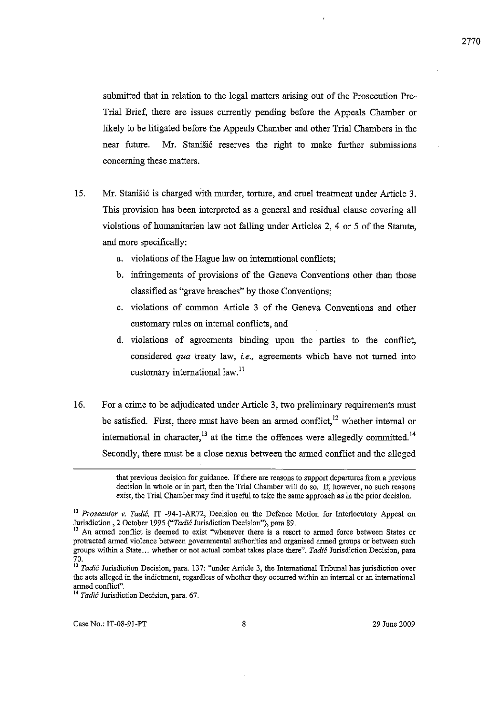submitted that in relation to the legal matters arising out of the Prosecution Pre-Trial Brief, there are issues currently pending before the Appeals Chamber or likely to be litigated before the Appeals Chamber and other Trial Chambers in the near future. Mr. Stanišić reserves the right to make further submissions concerning these matters.

- 15. Mr. Stanišić is charged with murder, torture, and cruel treatment under Article 3. This provision has been interpreted as a general and residual clause covering all violations of humanitarian law not falling under Articles 2, 4 or 5 of the Statute, and more specifically:
	- a. violations of the Hague law on international conflicts;
	- b. infringements of provisions of the Geneva Conventions other than those classified as "grave breaches" by those Conventions;
	- c. violations of common Article 3 of the Geneva Conventions and other customary rules on internal conflicts, and
	- d. violations of agreements binding upon the parties to the conflict, considered *qua* treaty law, *i.e.,* agreements which have not turned into customary international law. $^{11}$
- 16. For a crime to be adjudicated under Article 3, two preliminary requirements must be satisfied. First, there must have been an armed conflict,<sup>12</sup> whether internal or international in character,<sup>13</sup> at the time the offences were allegedly committed.<sup>14</sup> Secondly, there must be a close nexus between the armed conflict and the alleged

**that previous decision for guidance. If there are reasons to support departures from a previous decision in whole or in part, then the Trial Chamber will do so. If, however, no such reasons exist, the Trial Chamber may find it useful to take the same approach as in the prior decision.** 

**II** *Prosecutor v. Tadie,* **IT -94-I-AR72, Decision on the Defence Motion for Interlocutory Appeal on**  Jurisdiction ,2 October 1995 *("Tadic* Jurisdiction Decision"), para 89.

<sup>&</sup>lt;sup>12</sup> An armed conflict is deemed to exist "whenever there is a resort to armed force between States or **protracted armed violence between governmental authorities and organised anned groups or between such groups within a State ... whether or not actual combat takes place there".** *Tadic* **Jurisdiction Decision, para**  70.

*<sup>13</sup> Tadic* **Jurisdiction Decision, para. 137: "under Article 3, the International Tribunal has jurisdiction over the acts alleged in the indictment, regardless** of whether **they occurred within an internal or an international armed conflict".** 

**<sup>14</sup>***Tadic* **Jurisdiction Decision, para. 67.**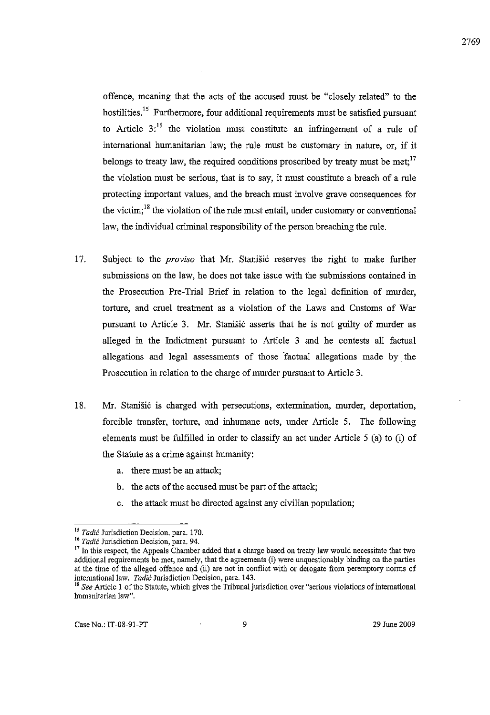offence, meaning that the acts of the accused must be "closely related" to the hostilities.<sup>15</sup> Furthermore, four additional requirements must be satisfied pursuant to Article  $3$ <sup>16</sup> the violation must constitute an infringement of a rule of international humanitarian law; the rule must be customary in nature, or, if it belongs to treaty law, the required conditions proscribed by treaty must be met;<sup>17</sup> the violation must be serious, that is to say, it must constitute a breach of a rule protecting important values, and the breach must involve grave consequences for the victim;<sup>18</sup> the violation of the rule must entail, under customary or conventional law, the individual criminal responsibility of the person breaching the rule.

- 17. Subject to the *proviso* that Mr. Stanisic reserves the right to make further submissions on the law, he does not take issue with the submissions contained in the Prosecution Pre-Trial Brief in relation to the legal defmition of murder, torture, and cruel treatment as a violation of the Laws and Customs of War pursuant to Article 3. Mr. Stanišić asserts that he is not guilty of murder as alleged in the Indictment pursuant to Article 3 and he contests all factual allegations and legal assessments of those "factual allegations made by the Prosecution in relation to the charge of murder pursuant to Article 3.
- 18. Mr. Stanišić is charged with persecutions, extermination, murder, deportation, forcible transfer, torture, and inhumane acts, under Article 5. The following elements must be fulfilled in order to classify an act under Article 5 (a) to (i) of the Statute as a crime against humanity:
	- a. there must be an attack;
	- b. the acts of the accused must be part of the attack;
	- c. the attack must be directed against any civilian population;

**<sup>15</sup> Tadic Jurisdiction Decision, para. 170.** 

**<sup>16</sup>***Tadic* **Jurisdiction Decision, para. 94.** 

<sup>&</sup>lt;sup>17</sup> In this respect, the Appeals Chamber added that a charge based on treaty law would necessitate that two **additional requirements be met, namely, that the agreements (i) were unquestionably binding on the parties**  at the time of the alleged offence and (ii) are not in conflict with or derogate from peremptory norms of international law. *Tadic* **Jurisdiction Decision, para. 143.** 

**<sup>18</sup>***See* **Article 1** of the **Statute, which gives the** Tribunal jurisdiction **over "serious violations** of international **humanitarian law".**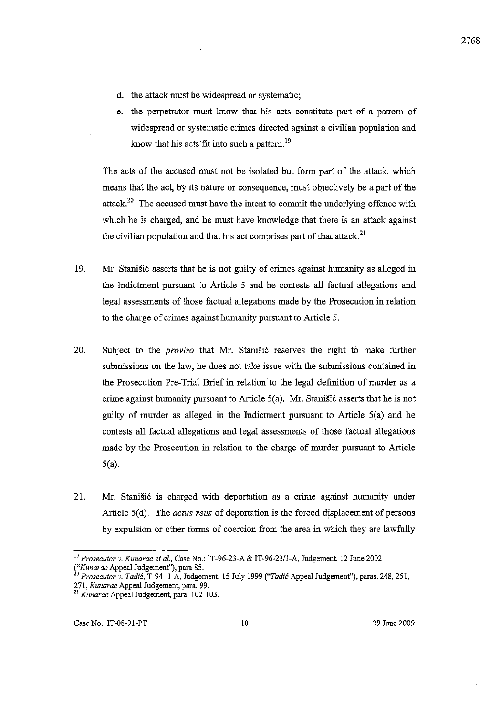- d. the attack must be widespread or systematic;
- e. the perpetrator must know that his acts constitute part of a pattern of widespread or systematic crimes directed against a civilian population and know that his acts fit into such a pattern.<sup>19</sup>

The acts of the accused must not be isolated but form part of the attack, which means that the act, by its nature or consequence, must objectively be a part of the attack.<sup>20</sup> The accused must have the intent to commit the underlying offence with which he is charged, and he must have knowledge that there is an attack against the civilian population and that his act comprises part of that attack.<sup>21</sup>

- 19. Mr. Stanišić asserts that he is not guilty of crimes against humanity as alleged in the Indictment pursuant to Article 5 and he contests all factual allegations and legal assessments of those factual allegations made by the Prosecution in relation to the charge of crimes against humanity pursuant to Article 5.
- 20. Subject to the *proviso* that Mr. Stanišić reserves the right to make further submissions on the law, he does not take issue with the submissions contained in the Prosecution Pre-Trial Brief in relation to the legal definition of murder as a crime against humanity pursuant to Article  $5(a)$ . Mr. Stanišić asserts that he is not guilty of murder as alleged in the Indictment pursuant to Article 5(a) and he contests all factual allegations and legal assessments of those factual allegations made by the Prosecution in relation to the charge of murder pursuant to Article 5(a).
- 21. Mr. Stanišić is charged with deportation as a crime against humanity under Article 5(d). The *actus reus* of deportation is the forced displacement of persons by expulsion or other forms of coercion from the area in which they are lawfully

<sup>19</sup>*Prosecutor v. Kunarac et 01.,* Case No.: IT-96-23-A & IT-96-23/1-A, Judgement, 12 June 2002 *("Kunarac* Appeal Judgement"), para 85.

<sup>20</sup>*Prosecutor v. Tadic,* T-94- I-A, Judgement, IS July 1999 *("Tadic* Appeal Judgement"), paras. 248, 251, 271, *Kunarac* Appeal Judgement, para. 99.

<sup>&</sup>lt;sup>21</sup> Kunarac Appeal Judgement, para. 102-103.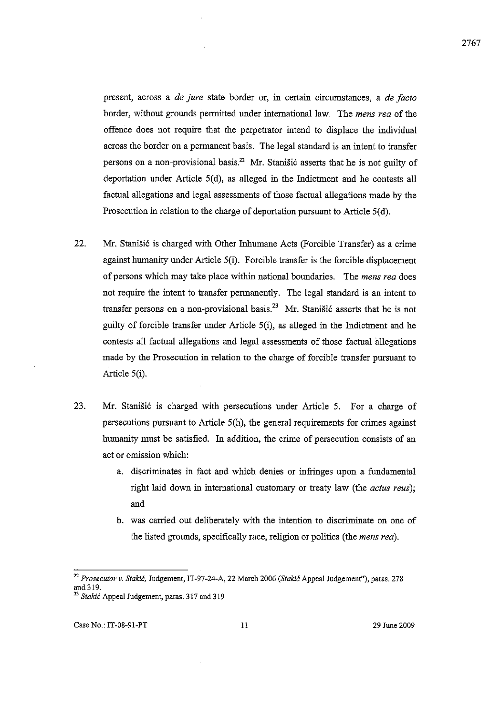present, across a *de jure* state border or, in certain circumstances, a *de Jacto*  border, witbout grounds permitted under international law. The *mens rea* of tbe offence does not require tbat tbe perpetrator intend to displace tbe individual across the border on a permanent basis. The legal standard is an intent to transfer persons on a non-provisional basis.<sup>22</sup> Mr. Stanišić asserts that he is not guilty of deportation under Article 5(d), as alleged in tbe Indictment and he contests all factual allegations and legal assessments of tbose factual allegations made by tbe Prosecution in relation to the charge of deportation pursuant to Article 5(d).

- 22. Mr. Stanišić is charged with Other Inhumane Acts (Forcible Transfer) as a crime against humanity under Article 5(i). Forcible transfer is tbe forcible displacement of persons which may take place within national boundaries. The *mens rea* does not require tbe intent to transfer permanently. The legal standard is an intent to transfer persons on a non-provisional basis.<sup>23</sup> Mr. Stanišić asserts that he is not guilty of forcible transfer under Article 5(i), as alleged in tbe Indictment and he contests all factual allegations and legal assessments of tbose factual allegations made by the Prosecution in relation to tbe charge of forcible transfer pursuant to Article 5(i).
- 23. Mr. Stanišić is charged with persecutions under Article 5. For a charge of persecutions pursuant to Article 5(h), tbe general requirements for crimes against humanity must be satisfied. In addition, the crime of persecution consists of an act or omission which:
	- a. discriminates in fact and which denies or infringes upon a fundamental right laid down in international customary or treaty law (tbe *actus reus);*  and
	- b. was carried out deliberately witb the intention to discriminate on one of tbe listed grounds, specifically race, religion or politics (tbe *mens rea).*

*<sup>22</sup> Prosecutor v. Stakic,* Judgement, IT-97-24-A, 22 March 2006 *(Staldc* Appeal Judgemenf'), paras. 278 and319.

<sup>&</sup>lt;sup>23</sup> Stakić Appeal Judgement, paras. 317 and 319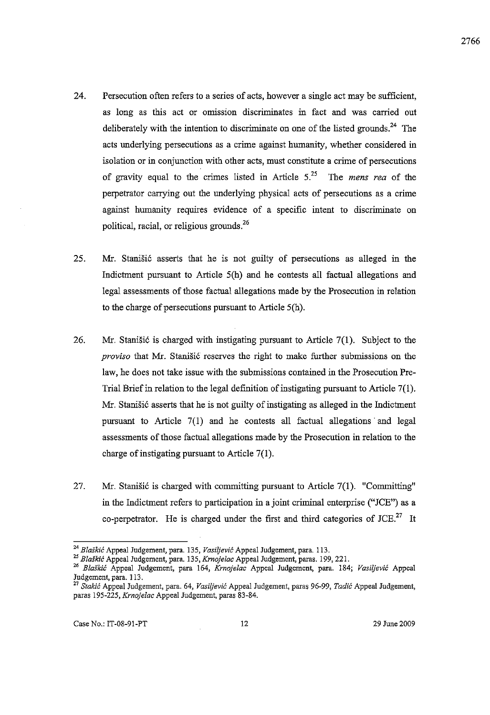- 24. Persecution often refers to a series of acts, however a single act may be sufficient, as long as this act or omission discriminates in fact and was carried out deliberately with the intention to discriminate on one of the listed grounds.<sup>24</sup> The acts underlying persecutions as a crime against humanity, whether considered in isolation or in conjunction with other acts, must constitnte a crime of persecutions of gravity equal to the crimes listed in Article  $5<sup>25</sup>$  The *mens rea* of the perpetrator carrying out the underlying physical acts of persecutions as a crime against humanity requires evidence of a specific intent to discriminate on political, racial, or religious grounds.<sup>26</sup>
- 25. Mr. Stanišić asserts that he is not guilty of persecutions as alleged in the Indictment pursuant to Article  $5(h)$  and he contests all factual allegations and legal assessments of those factual allegations made by the Prosecution in relation to the charge of persecutions pursuant to Article 5(h).
- 26. Mr. Stanišić is charged with instigating pursuant to Article  $7(1)$ . Subject to the *proviso* that Mr. Stanišić reserves the right to make further submissions on the law, he does not take issue with the submissions contained in the Prosecution Pre-Trial Brief in relation to the legal definition of instigating pursuant to Article 7(1). Mr. Stanišić asserts that he is not guilty of instigating as alleged in the Indictment pursuant to Article 7(1) and he contests all factual allegations and legal assessments of those factnal allegations made by the Prosecution in relation to the charge of instigating pursuant to Article 7(1).
- 27. Mr. Stanišić is charged with committing pursuant to Article  $7(1)$ . "Committing" in the Indictment refers to participation in a joint criminal enterprise ("JCE") as a co-perpetrator. He is charged under the first and third categories of  $JCE.<sup>27</sup>$  It

2766

<sup>&</sup>lt;sup>24</sup> Blaškić Appeal Judgement, para. 135, Vasiljević Appeal Judgement, para. 113.

*<sup>25</sup> Blas!dc* Appeal Judgement, para. 135, *Krnojelac* Appeal Judgement, paras. 199,221.

<sup>26</sup>*Blos!dc* Appeal Judgement, para 164, *Krnojelac* Appeal Judgement, para. 184; *Vasiljevic* Appeal Judgement, para. 113.

<sup>27</sup>*Stakic* Appeal Judgement, para. 64, *Vasiljevic* Appeal Judgement, paras 96-99, *Tadic* Appeal Judgement, paras 195-225, *Krnojelac* Appeal Judgement, paras 83-84.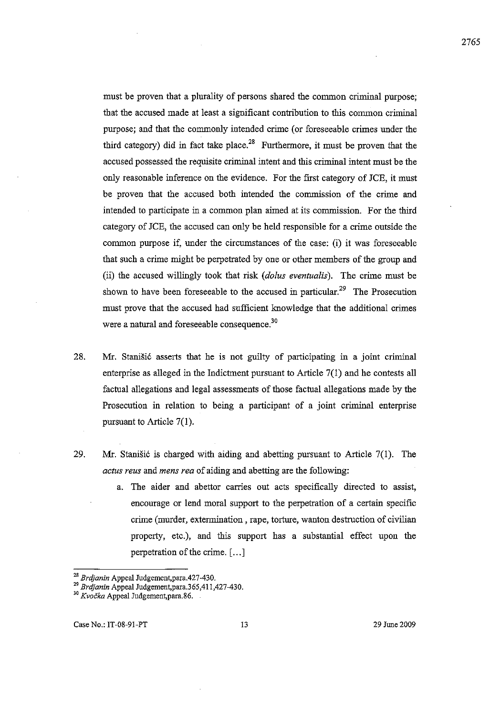must be proven that a plurality of persons shared the common criminal purpose; that the accused made at least a significant contribution to this common criminal purpose; and that the commonly intended crime (or foreseeable crimes under the third category) did in fact take place.<sup>28</sup> Furthermore, it must be proven that the accused possessed the requisite criminal intent and this criminal intent must be the only reasonable inference on the evidence. For the first category of JCE, it must be proven that the accused both intended the commission of the crime and intended to participate in a common plan aimed at its commission. For the third category of JCE, the accused can only be held responsible for a crime outside the common purpose if, under the circumstances of the case: (i) it was foreseeable that such a crime might be perpetrated by one or other members of the group and (ii) the accused willingly took that risk *(dolus eventualis).* The crime must be shown to have been foreseeable to the accused in particular.<sup>29</sup> The Prosecution must prove that the accused had sufficient knowledge that the additional crimes were a natural and foreseeable consequence.<sup>30</sup>

- 28. Mr. Stanišić asserts that he is not guilty of participating in a joint criminal enterprise as alleged in the Indictment pursuant to Article 7(1) and he contests all factual allegations and legal assessments of those factual allegations made by the Prosecution in relation to being a participant of a joint criminal enterprise pursuant to Article 7(1).
- 29. Mr. Stanišić is charged with aiding and abetting pursuant to Article  $7(1)$ . The *actus reus* and *mens rea* of aiding and abetting are the following:
	- a. The aider and abettor carries out acts specifically directed to assist, encourage or lend moral support to the perpetration of a certain specific crime (murder, extermination, rape, torture, wanton destruction of civilian property, etc.), and this support has a substantial effect upon the perpetration of the crime. [ ... J

<sup>28</sup>*Brtijanin* Appeal Judgement,para.427-430.

<sup>29</sup>*Brtijanin* Appeal Judgement,para.365,411,427-430.

<sup>30</sup>*Kvocka* Appeal Judgement,para.86.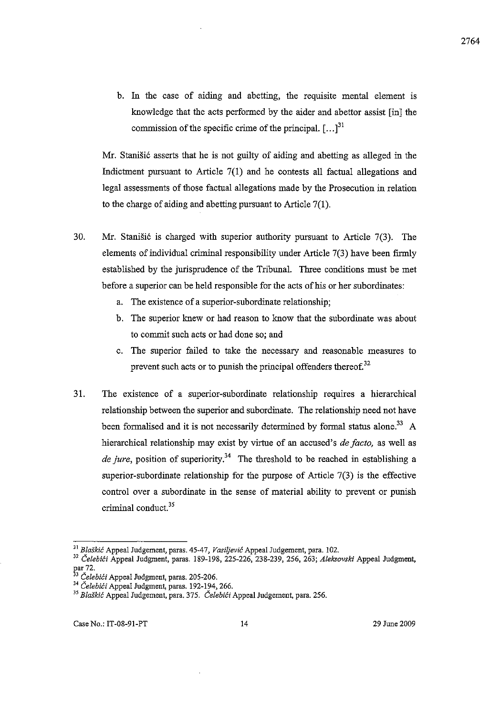b. In the case of aiding and abetting, the requisite mental element is knowledge that the acts performed by the aider and abettor assist [in] the commission of the specific crime of the principal.  $\left[ \ldots \right]^{31}$ 

Mr. Stanišić asserts that he is not guilty of aiding and abetting as alleged in the Indictment pursuant to Article  $7(1)$  and he contests all factual allegations and legal assessments of those factual allegations made by the Prosecution in relation to the charge of aiding and abetting pursuant to Article  $7(1)$ .

- 30. Mr. Stanišić is charged with superior authority pursuant to Article  $7(3)$ . The elements of individual criminal responsibility under Article 7(3) have been firmly established by the jurisprudence of the Tribunal. Three conditions must be met before a superior can be held responsible for the acts of his or her subordinates:
	- a. The existence of a superior-subordinate relationship;
	- b. The superior knew or had reason to know that the subordinate was about to commit such acts or had done so; and
	- c. The superior failed to take the necessary and reasonable measures to prevent such acts or to punish the principal offenders thereof.<sup>32</sup>
- 31. The existence of a superior-subordinate relationship requires a hierarchical relationship between the superior and subordinate. The relationship need not have been formalised and it is not necessarily determined by formal status alone.<sup>33</sup> A hierarchical relationship may exist by virtue of an accused's *de facto,* as well as de jure, position of superiority.<sup>34</sup> The threshold to be reached in establishing a superior-subordinate relationship for the purpose of Article 7(3) is the effective control over a subordinate in the sense of material ability to prevent or punish criminal conduct.<sup>35</sup>

*<sup>31</sup> Blaskic* Appeal Judgement, paras. 45-47, *Vasiijevic* Appeal Judgement, para. 102.

<sup>&</sup>lt;sup>32</sup> Čelebići Appeal Judgment, paras. 189-198, 225-226, 238-239, 256, 263; Aleksovski Appeal Judgment, f:ar 72.

<sup>&</sup>lt;sup>3</sup> Celebići Appeal Judgment, paras. 205-206.

<sup>&</sup>lt;sup>34</sup> Čelebići Appeal Judgment, paras. 192-194, 266.

<sup>&</sup>lt;sup>35</sup> Blaškić Appeal Judgement, para. 375. *Čelebići* Appeal Judgement, para. 256.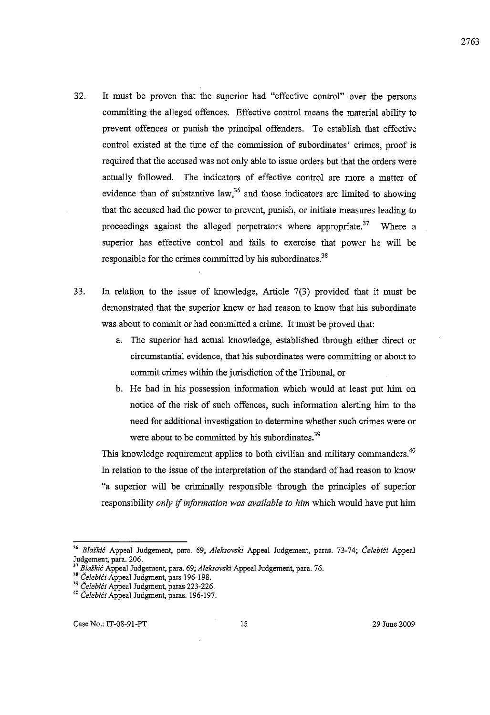- 32. It must be proven that the superior had "effective control" over the persons committing the alleged offences. Effective control means the material ability to prevent offences or punish the principal offenders. To establish that effective control existed at the time of the commission of subordinates' crimes, proof is required that the accused was not only able to issue orders but that the orders were actually followed. The indicators of effective control are more a matter of evidence than of substantive law,  $36$  and those indicators are limited to showing that the accused had the power to prevent, punish, or initiate measures leading to proceedings against the alleged perpetrators where appropriate.<sup>37</sup> Where a superior has effective control and fails to exercise that power he will be responsible for the crimes committed by his subordinates. $38$
- 33. In relation to the issue of knowledge, Article 7(3) provided that it must be demonstrated that the superior knew or had reason to know that his subordinate was about to commit or had committed a crime. It must be proved that:
	- a. The superior had actual knowledge, established through either direct or circumstantial evidence, that his subordinates were committing or about to commit crimes within the jurisdiction of the Tribunal, or
	- b. He had in his possession information which would at least put him on notice of the risk of such offences, such information alerting him to the need for additional investigation to determine whether such crimes were or were about to be committed by his subordinates.<sup>39</sup>

This knowledge requirement applies to both civilian and military commanders.<sup>40</sup> In relation to the issue of the interpretation of the standard of had reason to know "a superior will be criminally responsible through the principles of superior responsibility *only* if *information was available to him* which would have put him

<sup>&</sup>lt;sup>36</sup> Blaškić Appeal Judgement, para. 69, Aleksovski Appeal Judgement, paras. 73-74; Čelebići Appeal Judgement, para. 206.

<sup>37</sup>*Blaskic* Appeal Judgement, para. 69; *Aleksovski* Appeal Judgement, para. 76.

<sup>&</sup>lt;sup>38</sup> Čelebići Appeal Judgment, pars 196-198.

<sup>&</sup>lt;sup>39</sup> Čelebići Appeal Judgment, paras 223-226.

<sup>&</sup>lt;sup>40</sup> Čelebići Appeal Judgment, paras. 196-197.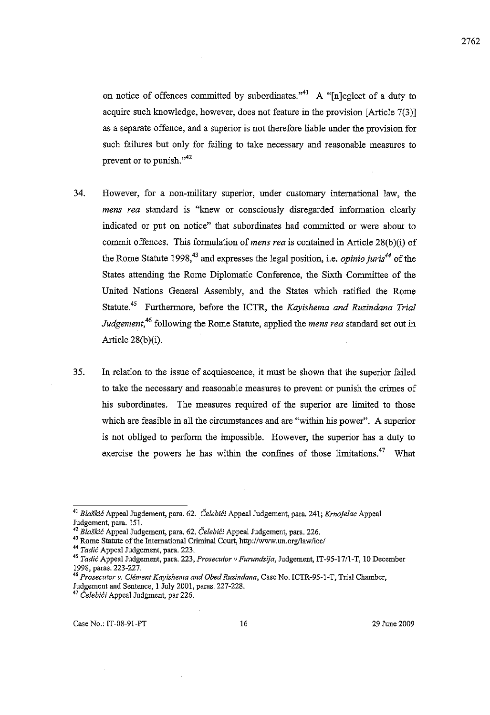on notice of offences committed by subordinates."<sup>41</sup> A "[n]eglect of a duty to acquire such knowledge, however, does not feature in the provision [Article 7(3)] as a separate offence, and a superior is not therefore liable under the provision for such failures but only for failing to take necessary and reasonable measures to prevent or to punish. $"^{42}$ 

- 34. However, for a non-military superior, under customary international law, the *mens rea* standard is "knew or consciously disregarded information clearly indicated or put on notice" that subordinates had committed or were about to commit offences. This formulation of *mens rea* is contained in Article 28(b)(i) of the Rome Statute 1998,<sup>43</sup> and expresses the legal position, i.e. *opinio juris*<sup>44</sup> of the States attending the Rome Diplomatic Conference, the Sixth Committee of the United Nations General Assembly, and the States which ratified the Rome Statute.45 Furthermore, before the ICTR, the *Kayishema and Ruzindana Trial Judgement,46* following the Rome Statute, applied the *mens rea* standard set out in Article  $28(b)(i)$ .
- 35. In relation to the issue of acquiescence, it must be shown that the superior failed to take the necessary and reasonable measures to prevent or punish the crimes of his subordinates. The measures required of the superior are limited to those which are feasible in all the circumstances and are "within his power". A superior is not obliged to perform the impossible. However, the superior has a duty to exercise the powers he has within the confines of those limitations.<sup>47</sup> What

<sup>&</sup>lt;sup>41</sup> Blaškić Appeal Jugdement, para. 62. Čelebići Appeal Judgement, para. 241; *Krnojelac* Appeal **Judgement, para. 15 I.** 

<sup>42</sup> Blaškić Appeal Judgement, para. 62. *Čelebići* Appeal Judgement, para. 226.

<sup>43</sup> Rome Statute of the International Criminal Court, *http://www.un.orgllaw/icc/* 

<sup>&</sup>lt;sup>44</sup> Tadić Appeal Judgement, para. 223.

*<sup>45</sup> Tadif:* **Appeal Judgement, para. 223,** *Prosecutor* **v** *Furundzija,* **Judgement, IT-95-1711-T, 10 December**  1998, paras. 223-227.

*<sup>46</sup> Prosecutor v. Clement Kayishema and Obed Ruzindana,* **Case No. ICTR-95-1-T, Trial Chamber,** 

Judgement and Sentence, 1 July 2001, paras. 227-228.

<sup>&</sup>lt;sup>47</sup> Čelebići Appeal Judgment, par 226.